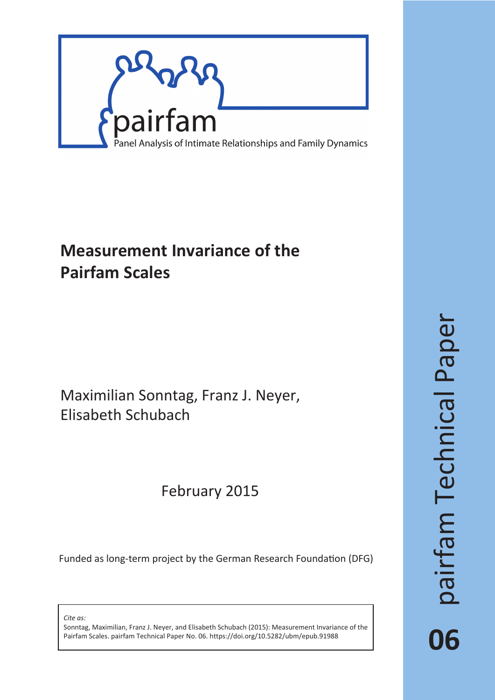

# **Measurement Invariance of the Pairfam Scales**

Maximilian Sonntag, Franz J. Neyer, Elisabeth Schubach

# February 2015

Funded as long-term project by the German Research Foundation (DFG)

*Cite as:*

Sonntag, Maximilian, Franz J. Neyer, and Elisabeth Schubach (2015): Measurement Invariance of the Pairfam Scales. pairfam Technical Paper No. 06. https://doi.org/10.5282/ubm/epub.91988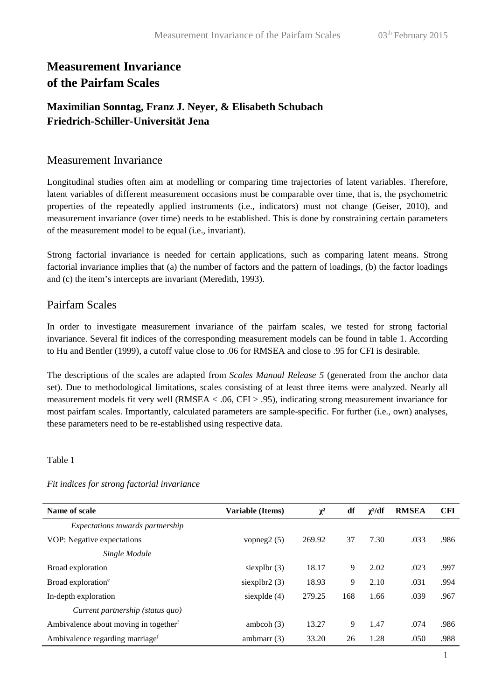## **Measurement Invariance of the Pairfam Scales**

### **Maximilian Sonntag, Franz J. Neyer, & Elisabeth Schubach Friedrich-Schiller-Universität Jena**

#### Measurement Invariance

Longitudinal studies often aim at modelling or comparing time trajectories of latent variables. Therefore, latent variables of different measurement occasions must be comparable over time, that is, the psychometric properties of the repeatedly applied instruments (i.e., indicators) must not change (Geiser, 2010), and measurement invariance (over time) needs to be established. This is done by constraining certain parameters of the measurement model to be equal (i.e., invariant).

Strong factorial invariance is needed for certain applications, such as comparing latent means. Strong factorial invariance implies that (a) the number of factors and the pattern of loadings, (b) the factor loadings and (c) the item's intercepts are invariant (Meredith, 1993).

### Pairfam Scales

In order to investigate measurement invariance of the pairfam scales, we tested for strong factorial invariance. Several fit indices of the corresponding measurement models can be found in table 1. According to Hu and Bentler (1999), a cutoff value close to .06 for RMSEA and close to .95 for CFI is desirable.

The descriptions of the scales are adapted from *Scales Manual Release 5* (generated from the anchor data set). Due to methodological limitations, scales consisting of at least three items were analyzed. Nearly all measurement models fit very well (RMSEA < .06, CFI > .95), indicating strong measurement invariance for most pairfam scales. Importantly, calculated parameters are sample-specific. For further (i.e., own) analyses, these parameters need to be re-established using respective data.

Table 1

| Name of scale                                     | <b>Variable (Items)</b> | $\chi^2$ | df  | $\chi^2/df$ | <b>RMSEA</b> | <b>CFI</b> |
|---------------------------------------------------|-------------------------|----------|-----|-------------|--------------|------------|
| Expectations towards partnership                  |                         |          |     |             |              |            |
| VOP: Negative expectations                        | vopneg $2(5)$           | 269.92   | 37  | 7.30        | .033         | .986       |
| Single Module                                     |                         |          |     |             |              |            |
| Broad exploration                                 | siexpl $b$ r (3)        | 18.17    | 9   | 2.02        | .023         | .997       |
| Broad exploration <sup>e</sup>                    | siexplbr2 (3)           | 18.93    | 9   | 2.10        | .031         | .994       |
| In-depth exploration                              | siexplde (4)            | 279.25   | 168 | 1.66        | .039         | .967       |
| Current partnership (status quo)                  |                         |          |     |             |              |            |
| Ambivalence about moving in together <sup>f</sup> | ambcoh $(3)$            | 13.27    | 9   | 1.47        | .074         | .986       |
| Ambivalence regarding marriage <sup>f</sup>       | ambmarr $(3)$           | 33.20    | 26  | 1.28        | .050         | .988       |

*Fit indices for strong factorial invariance*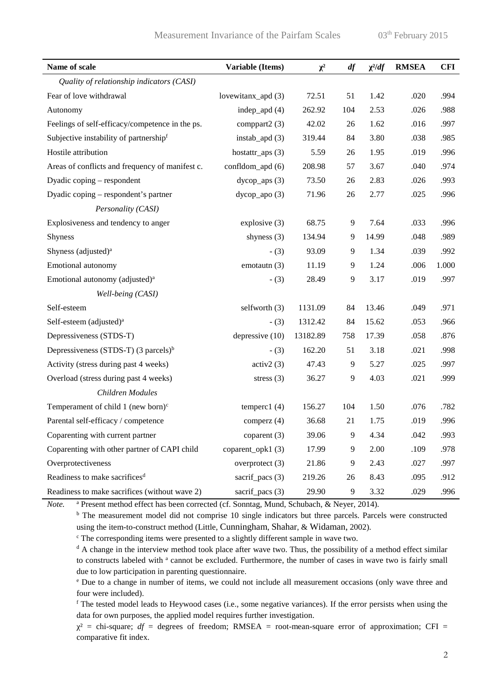| Name of scale                                   | <b>Variable (Items)</b> | $\chi^2$ | df  | $\chi^2/df$ | <b>RMSEA</b> | CFI   |
|-------------------------------------------------|-------------------------|----------|-----|-------------|--------------|-------|
| Quality of relationship indicators (CASI)       |                         |          |     |             |              |       |
| Fear of love withdrawal                         | lovewitanx_apd (3)      | 72.51    | 51  | 1.42        | .020         | .994  |
| Autonomy                                        | indep_apd $(4)$         | 262.92   | 104 | 2.53        | .026         | .988  |
| Feelings of self-efficacy/competence in the ps. | comppart2 (3)           | 42.02    | 26  | 1.62        | .016         | .997  |
| Subjective instability of partnershipf          | instab_apd $(3)$        | 319.44   | 84  | 3.80        | .038         | .985  |
| Hostile attribution                             | hostattr_aps $(3)$      | 5.59     | 26  | 1.95        | .019         | .996  |
| Areas of conflicts and frequency of manifest c. | confldom_apd (6)        | 208.98   | 57  | 3.67        | .040         | .974  |
| Dyadic coping - respondent                      | $dycop_aps(3)$          | 73.50    | 26  | 2.83        | .026         | .993  |
| Dyadic coping - respondent's partner            | dycop_apo (3)           | 71.96    | 26  | 2.77        | .025         | .996  |
| Personality (CASI)                              |                         |          |     |             |              |       |
| Explosiveness and tendency to anger             | explosive (3)           | 68.75    | 9   | 7.64        | .033         | .996  |
| <b>Shyness</b>                                  | shyness (3)             | 134.94   | 9   | 14.99       | .048         | .989  |
| Shyness (adjusted) <sup>a</sup>                 | $-$ (3)                 | 93.09    | 9   | 1.34        | .039         | .992  |
| Emotional autonomy                              | emotautn (3)            | 11.19    | 9   | 1.24        | .006         | 1.000 |
| Emotional autonomy (adjusted) <sup>a</sup>      | $-$ (3)                 | 28.49    | $9$ | 3.17        | .019         | .997  |
| Well-being (CASI)                               |                         |          |     |             |              |       |
| Self-esteem                                     | selfworth (3)           | 1131.09  | 84  | 13.46       | .049         | .971  |
| Self-esteem (adjusted) <sup>a</sup>             | $- (3)$                 | 1312.42  | 84  | 15.62       | .053         | .966  |
| Depressiveness (STDS-T)                         | depressive (10)         | 13182.89 | 758 | 17.39       | .058         | .876  |
| Depressiveness (STDS-T) $(3 \text{ parcels})^b$ | $-$ (3)                 | 162.20   | 51  | 3.18        | .021         | .998  |
| Activity (stress during past 4 weeks)           | activ2(3)               | 47.43    | 9   | 5.27        | .025         | .997  |
| Overload (stress during past 4 weeks)           | stress $(3)$            | 36.27    | 9   | 4.03        | .021         | .999  |
| Children Modules                                |                         |          |     |             |              |       |
| Temperament of child 1 (new born) $c$           | temperc1 $(4)$          | 156.27   | 104 | 1.50        | .076         | .782  |
| Parental self-efficacy / competence             | comperz (4)             | 36.68    | 21  | 1.75        | .019         | .996  |
| Coparenting with current partner                | coparent (3)            | 39.06    | 9   | 4.34        | .042         | .993  |
| Coparenting with other partner of CAPI child    | coparent_opk1(3)        | 17.99    | 9   | 2.00        | .109         | .978  |
| Overprotectiveness                              | overprotect (3)         | 21.86    | 9   | 2.43        | .027         | .997  |
| Readiness to make sacrifices <sup>d</sup>       | sacrif_pacs (3)         | 219.26   | 26  | 8.43        | .095         | .912  |
| Readiness to make sacrifices (without wave 2)   | sacrif_pacs (3)         | 29.90    | 9   | 3.32        | .029         | .996  |

*Note.* <sup>a</sup> Present method effect has been corrected (cf. Sonntag, Mund, Schubach, & Neyer, 2014).

<sup>b</sup> The measurement model did not comprise 10 single indicators but three parcels. Parcels were constructed using the item-to-construct method (Little, Cunningham, Shahar, & Widaman, 2002).

<sup>c</sup> The corresponding items were presented to a slightly different sample in wave two.

<sup>d</sup> A change in the interview method took place after wave two. Thus, the possibility of a method effect similar to constructs labeled with <sup>a</sup> cannot be excluded. Furthermore, the number of cases in wave two is fairly small due to low participation in parenting questionnaire.

<sup>e</sup> Due to a change in number of items, we could not include all measurement occasions (only wave three and four were included).

<sup>f</sup> The tested model leads to Heywood cases (i.e., some negative variances). If the error persists when using the data for own purposes, the applied model requires further investigation.

 $x^2$  = chi-square;  $df$  = degrees of freedom; RMSEA = root-mean-square error of approximation; CFI = comparative fit index.